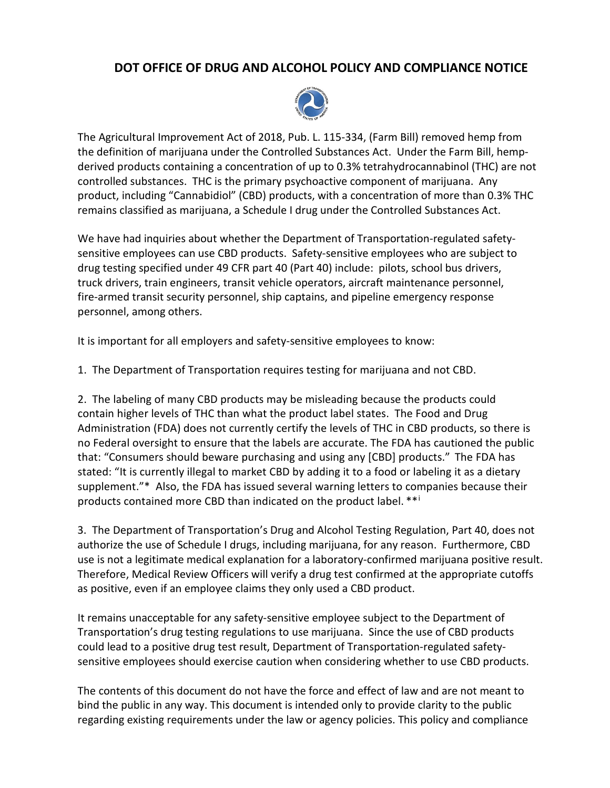## **DOT OFFICE OF DRUG AND ALCOHOL POLICY AND COMPLIANCE NOTICE**



The Agricultural Improvement Act of 2018, Pub. L. 115-334, (Farm Bill) removed hemp from the definition of marijuana under the Controlled Substances Act. Under the Farm Bill, hempderived products containing a concentration of up to 0.3% tetrahydrocannabinol (THC) are not controlled substances. THC is the primary psychoactive component of marijuana. Any product, including "Cannabidiol" (CBD) products, with a concentration of more than 0.3% THC remains classified as marijuana, a Schedule I drug under the Controlled Substances Act.

We have had inquiries about whether the Department of Transportation-regulated safetysensitive employees can use CBD products. Safety-sensitive employees who are subject to drug testing specified under 49 CFR part 40 (Part 40) include: pilots, school bus drivers, truck drivers, train engineers, transit vehicle operators, aircraft maintenance personnel, fire-armed transit security personnel, ship captains, and pipeline emergency response personnel, among others.

It is important for all employers and safety-sensitive employees to know:

1. The Department of Transportation requires testing for marijuana and not CBD.

2. The labeling of many CBD products may be misleading because the products could contain higher levels of THC than what the product label states. The Food and Drug Administration (FDA) does not currently certify the levels of THC in CBD products, so there is no Federal oversight to ensure that the labels are accurate. The FDA has cautioned the public that: "Consumers should beware purchasing and using any [CBD] products." The FDA has stated: "It is currently illegal to market CBD by adding it to a food or labeling it as a dietary supplement."\* Also, the FDA has issued several warning letters to companies because their products conta[i](#page-1-0)ned more CBD than indicated on the product label. \*\*i

3. The Department of Transportation's Drug and Alcohol Testing Regulation, Part 40, does not authorize the use of Schedule I drugs, including marijuana, for any reason. Furthermore, CBD use is not a legitimate medical explanation for a laboratory-confirmed marijuana positive result. Therefore, Medical Review Officers will verify a drug test confirmed at the appropriate cutoffs as positive, even if an employee claims they only used a CBD product.

It remains unacceptable for any safety-sensitive employee subject to the Department of Transportation's drug testing regulations to use marijuana. Since the use of CBD products could lead to a positive drug test result, Department of Transportation-regulated safetysensitive employees should exercise caution when considering whether to use CBD products.

The contents of this document do not have the force and effect of law and are not meant to bind the public in any way. This document is intended only to provide clarity to the public regarding existing requirements under the law or agency policies. This policy and compliance